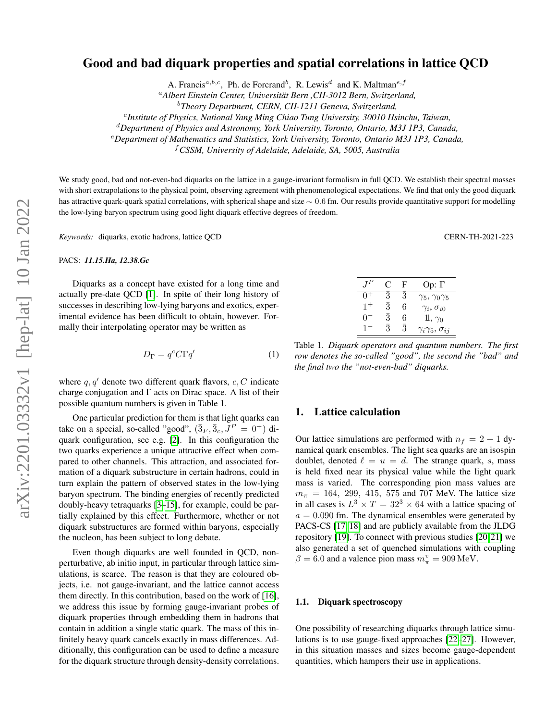# Good and bad diquark properties and spatial correlations in lattice QCD

A. Francis<sup>a,b,c</sup>, Ph. de Forcrand<sup>b</sup>, R. Lewis<sup>d</sup> and K. Maltman<sup>e,f</sup>

<sup>a</sup>*Albert Einstein Center, Universitat Bern ,CH-3012 Bern, Switzerland, ¨*

c *Institute of Physics, National Yang Ming Chiao Tung University, 30010 Hsinchu, Taiwan,*

<sup>d</sup>*Department of Physics and Astronomy, York University, Toronto, Ontario, M3J 1P3, Canada,*

<sup>e</sup>*Department of Mathematics and Statistics, York University, Toronto, Ontario M3J 1P3, Canada,*

<sup>f</sup>*CSSM, University of Adelaide, Adelaide, SA, 5005, Australia*

We study good, bad and not-even-bad diquarks on the lattice in a gauge-invariant formalism in full QCD. We establish their spectral masses with short extrapolations to the physical point, observing agreement with phenomenological expectations. We find that only the good diquark has attractive quark-quark spatial correlations, with spherical shape and size  $\sim 0.6$  fm. Our results provide quantitative support for modelling the low-lying baryon spectrum using good light diquark effective degrees of freedom.

*Keywords:* diquarks, exotic hadrons, lattice QCD CERN-TH-2021-223

PACS: *11.15.Ha, 12.38.Gc*

Diquarks as a concept have existed for a long time and actually pre-date QCD [\[1\]](#page-3-0). In spite of their long history of successes in describing low-lying baryons and exotics, experimental evidence has been difficult to obtain, however. Formally their interpolating operator may be written as

$$
D_{\Gamma} = q^c C \Gamma q'
$$
 (1)

where q,  $q'$  denote two different quark flavors, c, C indicate charge conjugation and  $\Gamma$  acts on Dirac space. A list of their possible quantum numbers is given in Table 1.

One particular prediction for them is that light quarks can take on a special, so-called "good",  $(\bar{3}_F, \bar{3}_c, J^P = 0^+)$  diquark configuration, see e.g. [\[2\]](#page-3-1). In this configuration the two quarks experience a unique attractive effect when compared to other channels. This attraction, and associated formation of a diquark substructure in certain hadrons, could in turn explain the pattern of observed states in the low-lying baryon spectrum. The binding energies of recently predicted doubly-heavy tetraquarks [\[3](#page-3-2)[–15\]](#page-3-3), for example, could be partially explained by this effect. Furthermore, whether or not diquark substructures are formed within baryons, especially the nucleon, has been subject to long debate.

Even though diquarks are well founded in QCD, nonperturbative, ab initio input, in particular through lattice simulations, is scarce. The reason is that they are coloured objects, i.e. not gauge-invariant, and the lattice cannot access them directly. In this contribution, based on the work of [\[16\]](#page-4-0), we address this issue by forming gauge-invariant probes of diquark properties through embedding them in hadrons that contain in addition a single static quark. The mass of this infinitely heavy quark cancels exactly in mass differences. Additionally, this configuration can be used to define a measure for the diquark structure through density-density correlations.

| $J^P$   | C         | F         | Op: $\Gamma$                    |
|---------|-----------|-----------|---------------------------------|
| $0+$    | 3         | 3         | $\gamma_5, \gamma_0 \gamma_5$   |
| $1^{+}$ | $\bar{3}$ | 6         | $\gamma_i, \sigma_{i0}$         |
| 07      | 3         | 6         | $1, \gamma_0$                   |
| $1 -$   | 3         | $\bar{3}$ | $\gamma_i\gamma_5, \sigma_{ij}$ |

Table 1. *Diquark operators and quantum numbers. The first row denotes the so-called "good", the second the "bad" and the final two the "not-even-bad" diquarks.*

### 1. Lattice calculation

Our lattice simulations are performed with  $n_f = 2 + 1$  dynamical quark ensembles. The light sea quarks are an isospin doublet, denoted  $\ell = u = d$ . The strange quark, s, mass is held fixed near its physical value while the light quark mass is varied. The corresponding pion mass values are  $m_{\pi}$  = 164, 299, 415, 575 and 707 MeV. The lattice size in all cases is  $L^3 \times T = 32^3 \times 64$  with a lattice spacing of  $a = 0.090$  fm. The dynamical ensembles were generated by PACS-CS [\[17,](#page-4-1) [18\]](#page-4-2) and are publicly available from the JLDG repository [\[19\]](#page-4-3). To connect with previous studies [\[20,](#page-4-4) [21\]](#page-4-5) we also generated a set of quenched simulations with coupling  $\beta = 6.0$  and a valence pion mass  $m_{\pi}^v = 909 \,\text{MeV}$ .

#### 1.1. Diquark spectroscopy

One possibility of researching diquarks through lattice simulations is to use gauge-fixed approaches [\[22](#page-4-6)[–27\]](#page-4-7). However, in this situation masses and sizes become gauge-dependent quantities, which hampers their use in applications.

<sup>b</sup>*Theory Department, CERN, CH-1211 Geneva, Switzerland,*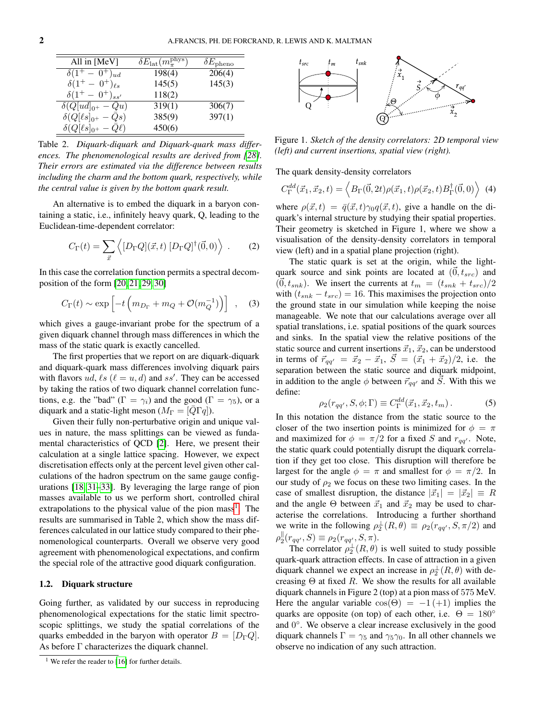| All in $[MeV]$                      | $\delta E_{\rm lat}(m_\pi^{\rm phys})$ | $\delta E_{\rm pheno}$ |
|-------------------------------------|----------------------------------------|------------------------|
| $\delta(1^+ - 0^+)_{{ud}}$          | 198(4)                                 | 206(4)                 |
| $\delta(1^+ - 0^+)_{{\ell} s}$      | 145(5)                                 | 145(3)                 |
| $\delta(1^+ - 0^+)_{{ss}'}$         | 118(2)                                 |                        |
| $\delta(Q[ud]_{0^+}-\overline{Q}u)$ | 319(1)                                 | 306(7)                 |
| $\delta(Q[\ell s]_{0^+}-\bar Qs)$   | 385(9)                                 | 397(1)                 |
| $\delta(Q[\ell s]_{0^+}-Q\ell)$     | 450(6)                                 |                        |

Table 2. *Diquark-diquark and Diquark-quark mass differences. The phenomenological results are derived from [\[28\]](#page-4-8). Their errors are estimated via the difference between results including the charm and the bottom quark, respectively, while the central value is given by the bottom quark result.*

An alternative is to embed the diquark in a baryon containing a static, i.e., infinitely heavy quark, Q, leading to the Euclidean-time-dependent correlator:

$$
C_{\Gamma}(t) = \sum_{\vec{x}} \left\langle [D_{\Gamma} Q](\vec{x}, t) [D_{\Gamma} Q]^{\dagger} (\vec{0}, 0) \right\rangle . \tag{2}
$$

In this case the correlation function permits a spectral decomposition of the form [\[20,](#page-4-4) [21,](#page-4-5) [29,](#page-4-9) [30\]](#page-4-10)

$$
C_{\Gamma}(t) \sim \exp\left[-t\left(m_{D_{\Gamma}} + m_Q + \mathcal{O}(m_Q^{-1})\right)\right] \quad , \quad (3)
$$

which gives a gauge-invariant probe for the spectrum of a given diquark channel through mass differences in which the mass of the static quark is exactly cancelled.

The first properties that we report on are diquark-diquark and diquark-quark mass differences involving diquark pairs with flavors ud,  $\ell s$  ( $\ell = u, d$ ) and ss'. They can be accessed by taking the ratios of two diquark channel correlation functions, e.g. the "bad" ( $\Gamma = \gamma_i$ ) and the good ( $\Gamma = \gamma_5$ ), or a diquark and a static-light meson ( $M_{\Gamma} = [\overline{Q}\Gamma q]$ ).

Given their fully non-perturbative origin and unique values in nature, the mass splittings can be viewed as fundamental characteristics of QCD [\[2\]](#page-3-1). Here, we present their calculation at a single lattice spacing. However, we expect discretisation effects only at the percent level given other calculations of the hadron spectrum on the same gauge configurations [\[18,](#page-4-2) [31](#page-4-11)[–33\]](#page-4-12). By leveraging the large range of pion masses available to us we perform short, controlled chiral extrapolations to the physical value of the pion mass<sup>[1](#page-1-0)</sup>. The results are summarised in Table 2, which show the mass differences calculated in our lattice study compared to their phenomenological counterparts. Overall we observe very good agreement with phenomenological expectations, and confirm the special role of the attractive good diquark configuration.

#### 1.2. Diquark structure

Going further, as validated by our success in reproducing phenomenological expectations for the static limit spectroscopic splittings, we study the spatial correlations of the quarks embedded in the baryon with operator  $B = [D_{\Gamma} Q]$ . As before  $\Gamma$  characterizes the diquark channel.

<span id="page-1-0"></span>



Figure 1. *Sketch of the density correlators: 2D temporal view (left) and current insertions, spatial view (right).*

The quark density-density correlators

$$
C_{\Gamma}^{dd}(\vec{x}_1, \vec{x}_2, t) = \left\langle B_{\Gamma}(\vec{0}, 2t) \rho(\vec{x}_1, t) \rho(\vec{x}_2, t) B_{\Gamma}^{\dagger}(\vec{0}, 0) \right\rangle \tag{4}
$$

where  $\rho(\vec{x}, t) = \bar{q}(\vec{x}, t) \gamma_0 q(\vec{x}, t)$ , give a handle on the diquark's internal structure by studying their spatial properties. Their geometry is sketched in Figure 1, where we show a visualisation of the density-density correlators in temporal view (left) and in a spatial plane projection (right).

The static quark is set at the origin, while the lightquark source and sink points are located at  $(\vec{0}, t_{src})$  and  $(0, t_{snk})$ . We insert the currents at  $t_m = (t_{snk} + t_{src})/2$ with  $(t_{snk} - t_{src}) = 16$ . This maximises the projection onto the ground state in our simulation while keeping the noise manageable. We note that our calculations average over all spatial translations, i.e. spatial positions of the quark sources and sinks. In the spatial view the relative positions of the static source and current insertions  $\vec{x}_1, \vec{x}_2$ , can be understood in terms of  $\vec{r}_{qq'} = \vec{x}_2 - \vec{x}_1$ ,  $\vec{S} = (\vec{x}_1 + \vec{x}_2)/2$ , i.e. the separation between the static source and diquark midpoint, in addition to the angle  $\phi$  between  $\vec{r}_{qq'}$  and S. With this we define:

$$
\rho_2(r_{qq'}, S, \phi; \Gamma) \equiv C_{\Gamma}^{dd}(\vec{x}_1, \vec{x}_2, t_m). \tag{5}
$$

In this notation the distance from the static source to the closer of the two insertion points is minimized for  $\phi = \pi$ and maximized for  $\phi = \pi/2$  for a fixed S and  $r_{qq'}$ . Note, the static quark could potentially disrupt the diquark correlation if they get too close. This disruption will therefore be largest for the angle  $\phi = \pi$  and smallest for  $\phi = \pi/2$ . In our study of  $\rho_2$  we focus on these two limiting cases. In the case of smallest disruption, the distance  $|\vec{x}_1| = |\vec{x}_2| \equiv R$ and the angle  $\Theta$  between  $\vec{x}_1$  and  $\vec{x}_2$  may be used to characterise the correlations. Introducing a further shorthand we write in the following  $\rho_2^{\perp}(R,\theta) \equiv \rho_2(r_{qq'}, S, \pi/2)$  and  $\rho_2^{\parallel}(r_{qq'}, S) \equiv \rho_2(r_{qq'}, S, \pi).$ 

The correlator  $\rho_2^{\perp}(R,\theta)$  is well suited to study possible quark-quark attraction effects. In case of attraction in a given diquark channel we expect an increase in  $\rho_2^{\perp}(R,\theta)$  with decreasing  $\Theta$  at fixed R. We show the results for all available diquark channels in Figure 2 (top) at a pion mass of 575 MeV. Here the angular variable  $\cos(\Theta) = -1 (+1)$  implies the quarks are opposite (on top) of each other, i.e.  $\Theta = 180^\circ$ and 0°. We observe a clear increase exclusively in the good diquark channels  $\Gamma = \gamma_5$  and  $\gamma_5 \gamma_0$ . In all other channels we observe no indication of any such attraction.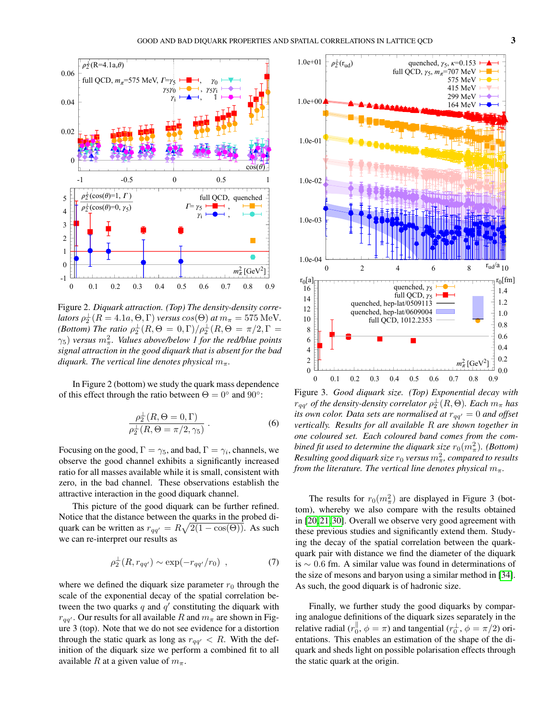

Figure 2. *Diquark attraction. (Top) The density-density corre-* $\mathit{lators}\ \rho_2^{\perp}(R=4.1a,\Theta,\Gamma)$  *versus*  $\cos(\Theta)\ \mathit{at}\ m_\pi=575\ \mathrm{MeV}.$ *(Bottom) The ratio*  $\rho_2^{\perp}(R, \Theta = 0, \Gamma)/\rho_2^{\perp}(R, \Theta = \pi/2, \Gamma = 1)$  $\gamma_5$ ) versus  $m_\pi^2$ . Values above/below 1 for the red/blue points *signal attraction in the good diquark that is absent for the bad diquark. The vertical line denotes physical*  $m_{\pi}$ *.* 

In Figure 2 (bottom) we study the quark mass dependence of this effect through the ratio between  $\Theta = 0^{\circ}$  and  $90^{\circ}$ :

$$
\frac{\rho_2^{\perp}(R,\Theta=0,\Gamma)}{\rho_2^{\perp}(R,\Theta=\pi/2,\gamma_5)}.
$$
\n(6)

Focusing on the good,  $\Gamma = \gamma_5$ , and bad,  $\Gamma = \gamma_i$ , channels, we observe the good channel exhibits a significantly increased ratio for all masses available while it is small, consistent with zero, in the bad channel. These observations establish the attractive interaction in the good diquark channel.

This picture of the good diquark can be further refined. Notice that the distance between the quarks in the probed diquark can be written as  $r_{qq'} = R\sqrt{2(1 - \cos(\Theta))}$ . As such we can re-interpret our results as

$$
\rho_2^{\perp}(R, r_{qq'}) \sim \exp(-r_{qq'}/r_0) \quad , \tag{7}
$$

where we defined the diquark size parameter  $r_0$  through the scale of the exponential decay of the spatial correlation between the two quarks  $q$  and  $q'$  constituting the diquark with  $r_{qq'}$ . Our results for all available R and  $m_{\pi}$  are shown in Figure 3 (top). Note that we do not see evidence for a distortion through the static quark as long as  $r_{qq'} < R$ . With the definition of the diquark size we perform a combined fit to all available R at a given value of  $m_{\pi}$ .



Figure 3. *Good diquark size. (Top) Exponential decay with*  $r_{qq'}$  *of the density-density correlator*  $\rho_2^\perp(R,\Theta)$ *. Each*  $m_\pi$  *has its own color. Data sets are normalised at*  $r_{qq'} = 0$  *and offset vertically. Results for all available* R *are shown together in one coloured set. Each coloured band comes from the com*bined fit used to determine the diquark size  $r_0(m_\pi^2)$ . (Bottom)  $\emph{Resulting good diquark size } r_0 \emph{ versus } m_\pi^2, \emph{ compared to results}$ *from the literature. The vertical line denotes physical*  $m_{\pi}$ .

The results for  $r_0(m_\pi^2)$  are displayed in Figure 3 (bottom), whereby we also compare with the results obtained in [\[20,](#page-4-4) [21,](#page-4-5) [30\]](#page-4-10). Overall we observe very good agreement with these previous studies and significantly extend them. Studying the decay of the spatial correlation between the quarkquark pair with distance we find the diameter of the diquark is ∼ 0.6 fm. A similar value was found in determinations of the size of mesons and baryon using a similar method in [\[34\]](#page-4-13). As such, the good diquark is of hadronic size.

Finally, we further study the good diquarks by comparing analogue definitions of the diquark sizes separately in the relative radial  $(r_0^{\parallel}, \phi = \pi)$  and tangential  $(r_0^{\perp}, \phi = \pi/2)$  orientations. This enables an estimation of the shape of the diquark and sheds light on possible polarisation effects through the static quark at the origin.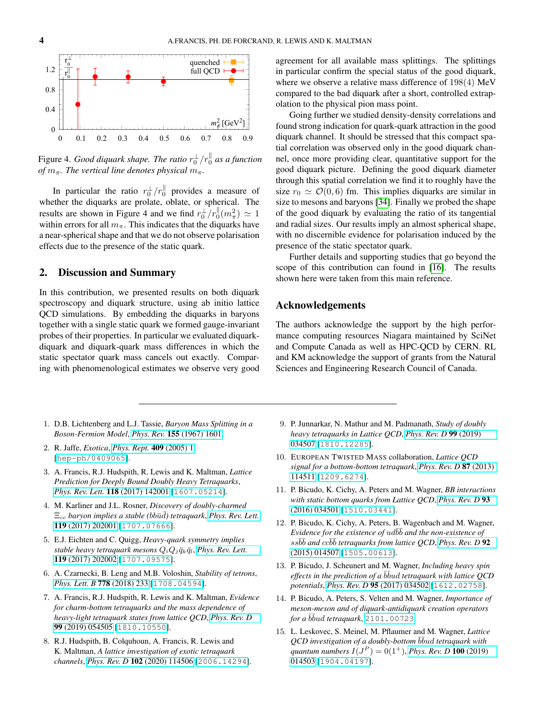

Figure 4. *Good diquark shape. The ratio*  $r_0^{\perp}/r_0^{\parallel}$  as a function *of*  $m_{\pi}$ *. The vertical line denotes physical*  $m_{\pi}$ *.* 

In particular the ratio  $r_0^{\perp}/r_0^{\parallel}$  provides a measure of whether the diquarks are prolate, oblate, or spherical. The results are shown in Figure 4 and we find  $r_0^{\perp}/r_0^{\parallel}(m_\pi^2) \simeq 1$ within errors for all  $m_{\pi}$ . This indicates that the diquarks have a near-spherical shape and that we do not observe polarisation effects due to the presence of the static quark.

### 2. Discussion and Summary

In this contribution, we presented results on both diquark spectroscopy and diquark structure, using ab initio lattice QCD simulations. By embedding the diquarks in baryons together with a single static quark we formed gauge-invariant probes of their properties. In particular we evaluated diquarkdiquark and diquark-quark mass differences in which the static spectator quark mass cancels out exactly. Comparing with phenomenological estimates we observe very good agreement for all available mass splittings. The splittings in particular confirm the special status of the good diquark, where we observe a relative mass difference of 198(4) MeV compared to the bad diquark after a short, controlled extrapolation to the physical pion mass point.

Going further we studied density-density correlations and found strong indication for quark-quark attraction in the good diquark channel. It should be stressed that this compact spatial correlation was observed only in the good diquark channel, once more providing clear, quantitative support for the good diquark picture. Defining the good diquark diameter through this spatial correlation we find it to roughly have the size  $r_0 \simeq \mathcal{O}(0, 6)$  fm. This implies diquarks are similar in size to mesons and baryons [\[34\]](#page-4-13). Finally we probed the shape of the good diquark by evaluating the ratio of its tangential and radial sizes. Our results imply an almost spherical shape, with no discernible evidence for polarisation induced by the presence of the static spectator quark.

Further details and supporting studies that go beyond the scope of this contribution can found in [\[16\]](#page-4-0). The results shown here were taken from this main reference.

## Acknowledgements

The authors acknowledge the support by the high performance computing resources Niagara maintained by SciNet and Compute Canada as well as HPC-QCD by CERN. RL and KM acknowledge the support of grants from the Natural Sciences and Engineering Research Council of Canada.

- <span id="page-3-0"></span>1. D.B. Lichtenberg and L.J. Tassie, *Baryon Mass Splitting in a Boson-Fermion Model*, *Phys. Rev.* 155 [\(1967\) 1601.](https://doi.org/10.1103/PhysRev.155.1601)
- <span id="page-3-1"></span>2. R. Jaffe, *Exotica*, *[Phys. Rept.](https://doi.org/10.1016/j.physrep.2004.11.005)* 409 (2005) 1 [[hep-ph/0409065](https://arxiv.org/abs/hep-ph/0409065)].
- <span id="page-3-2"></span>3. A. Francis, R.J. Hudspith, R. Lewis and K. Maltman, *Lattice Prediction for Deeply Bound Doubly Heavy Tetraquarks*, *[Phys. Rev. Lett.](https://doi.org/10.1103/PhysRevLett.118.142001)* 118 (2017) 142001 [[1607.05214](https://arxiv.org/abs/1607.05214)].
- 4. M. Karliner and J.L. Rosner, *Discovery of doubly-charmed*  $\Xi_{cc}$  *baryon implies a stable (bbūd) tetraquark*, *[Phys. Rev. Lett.](https://doi.org/10.1103/PhysRevLett.119.202001)* 119 [\(2017\) 202001](https://doi.org/10.1103/PhysRevLett.119.202001) [[1707.07666](https://arxiv.org/abs/1707.07666)].
- 5. E.J. Eichten and C. Quigg, *Heavy-quark symmetry implies stable heavy tetraquark mesons*  $Q_i Q_j \bar{q}_k \bar{q}_l$ , *[Phys. Rev. Lett.](https://doi.org/10.1103/PhysRevLett.119.202002)* 119 [\(2017\) 202002](https://doi.org/10.1103/PhysRevLett.119.202002) [[1707.09575](https://arxiv.org/abs/1707.09575)].
- 6. A. Czarnecki, B. Leng and M.B. Voloshin, *Stability of tetrons*, *[Phys. Lett. B](https://doi.org/10.1016/j.physletb.2018.01.034)* 778 (2018) 233 [[1708.04594](https://arxiv.org/abs/1708.04594)].
- 7. A. Francis, R.J. Hudspith, R. Lewis and K. Maltman, *Evidence for charm-bottom tetraquarks and the mass dependence of heavy-light tetraquark states from lattice QCD*, *[Phys. Rev. D](https://doi.org/10.1103/PhysRevD.99.054505)* 99 [\(2019\) 054505](https://doi.org/10.1103/PhysRevD.99.054505) [[1810.10550](https://arxiv.org/abs/1810.10550)].
- 8. R.J. Hudspith, B. Colquhoun, A. Francis, R. Lewis and K. Maltman, *A lattice investigation of exotic tetraquark channels*, *Phys. Rev. D* 102 [\(2020\) 114506](https://doi.org/10.1103/PhysRevD.102.114506) [[2006.14294](https://arxiv.org/abs/2006.14294)].
- 9. P. Junnarkar, N. Mathur and M. Padmanath, *Study of doubly heavy tetraquarks in Lattice QCD*, *[Phys. Rev. D](https://doi.org/10.1103/PhysRevD.99.034507)* 99 (2019) [034507](https://doi.org/10.1103/PhysRevD.99.034507) [[1810.12285](https://arxiv.org/abs/1810.12285)].
- 10. EUROPEAN TWISTED MASS collaboration, *Lattice QCD signal for a bottom-bottom tetraquark*, *[Phys. Rev. D](https://doi.org/10.1103/PhysRevD.87.114511)* 87 (2013) [114511](https://doi.org/10.1103/PhysRevD.87.114511) [[1209.6274](https://arxiv.org/abs/1209.6274)].
- 11. P. Bicudo, K. Cichy, A. Peters and M. Wagner, *BB interactions with static bottom quarks from Lattice QCD*, *[Phys. Rev. D](https://doi.org/10.1103/PhysRevD.93.034501)* 93 [\(2016\) 034501](https://doi.org/10.1103/PhysRevD.93.034501) [[1510.03441](https://arxiv.org/abs/1510.03441)].
- 12. P. Bicudo, K. Cichy, A. Peters, B. Wagenbach and M. Wagner, Evidence for the existence of ud $\overline{b}b$  and the non-existence of  $s s\overline{b}b$  and  $cc\overline{b}b$  tetraquarks from lattice QCD, [Phys. Rev. D](https://doi.org/10.1103/PhysRevD.92.014507) 92 [\(2015\) 014507](https://doi.org/10.1103/PhysRevD.92.014507) [[1505.00613](https://arxiv.org/abs/1505.00613)].
- 13. P. Bicudo, J. Scheunert and M. Wagner, *Including heavy spin* effects in the prediction of a  $b\bar{b}$ ud tetraquark with lattice QCD *potentials*, *Phys. Rev. D* 95 [\(2017\) 034502](https://doi.org/10.1103/PhysRevD.95.034502) [[1612.02758](https://arxiv.org/abs/1612.02758)].
- 14. P. Bicudo, A. Peters, S. Velten and M. Wagner, *Importance of meson-meson and of diquark-antidiquark creation operators*  $for \, a \, \bar b\bar b u d$  *tetraquark*, [2101.00723](https://arxiv.org/abs/2101.00723).
- <span id="page-3-3"></span>15. L. Leskovec, S. Meinel, M. Pflaumer and M. Wagner, *Lattice*  $QCD$  investigation of a doubly-bottom  $\overline{b} \overline{b} u d$  tetraquark with *quantum numbers*  $I(J^{P}) = 0(1^{+})$ , *[Phys. Rev. D](https://doi.org/10.1103/PhysRevD.100.014503)* **100** (2019) [014503](https://doi.org/10.1103/PhysRevD.100.014503) [[1904.04197](https://arxiv.org/abs/1904.04197)].